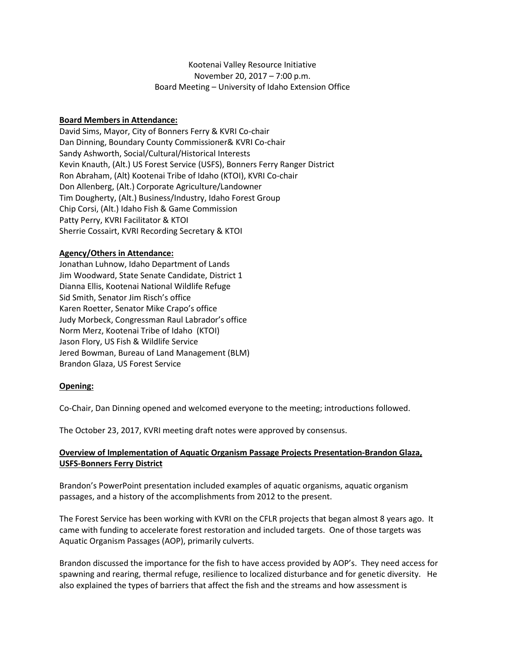# Kootenai Valley Resource Initiative November 20, 2017 – 7:00 p.m. Board Meeting – University of Idaho Extension Office

## **Board Members in Attendance:**

David Sims, Mayor, City of Bonners Ferry & KVRI Co-chair Dan Dinning, Boundary County Commissioner& KVRI Co-chair Sandy Ashworth, Social/Cultural/Historical Interests Kevin Knauth, (Alt.) US Forest Service (USFS), Bonners Ferry Ranger District Ron Abraham, (Alt) Kootenai Tribe of Idaho (KTOI), KVRI Co-chair Don Allenberg, (Alt.) Corporate Agriculture/Landowner Tim Dougherty, (Alt.) Business/Industry, Idaho Forest Group Chip Corsi, (Alt.) Idaho Fish & Game Commission Patty Perry, KVRI Facilitator & KTOI Sherrie Cossairt, KVRI Recording Secretary & KTOI

## **Agency/Others in Attendance:**

Jonathan Luhnow, Idaho Department of Lands Jim Woodward, State Senate Candidate, District 1 Dianna Ellis, Kootenai National Wildlife Refuge Sid Smith, Senator Jim Risch's office Karen Roetter, Senator Mike Crapo's office Judy Morbeck, Congressman Raul Labrador's office Norm Merz, Kootenai Tribe of Idaho (KTOI) Jason Flory, US Fish & Wildlife Service Jered Bowman, Bureau of Land Management (BLM) Brandon Glaza, US Forest Service

## **Opening:**

Co-Chair, Dan Dinning opened and welcomed everyone to the meeting; introductions followed.

The October 23, 2017, KVRI meeting draft notes were approved by consensus.

# **Overview of Implementation of Aquatic Organism Passage Projects Presentation-Brandon Glaza, USFS-Bonners Ferry District**

Brandon's PowerPoint presentation included examples of aquatic organisms, aquatic organism passages, and a history of the accomplishments from 2012 to the present.

The Forest Service has been working with KVRI on the CFLR projects that began almost 8 years ago. It came with funding to accelerate forest restoration and included targets. One of those targets was Aquatic Organism Passages (AOP), primarily culverts.

Brandon discussed the importance for the fish to have access provided by AOP's. They need access for spawning and rearing, thermal refuge, resilience to localized disturbance and for genetic diversity. He also explained the types of barriers that affect the fish and the streams and how assessment is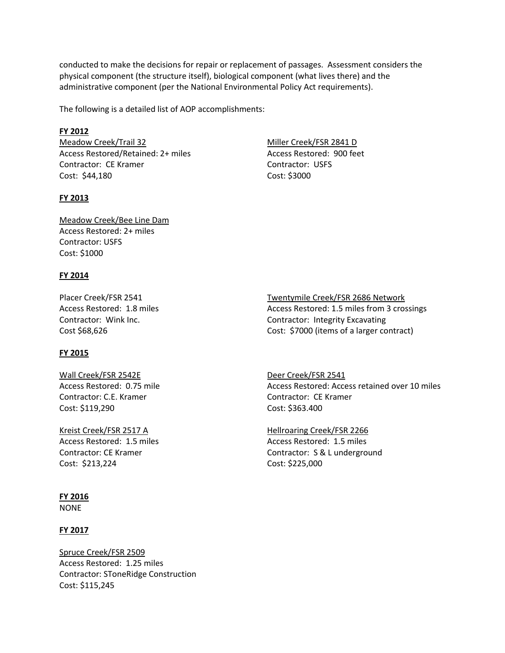conducted to make the decisions for repair or replacement of passages. Assessment considers the physical component (the structure itself), biological component (what lives there) and the administrative component (per the National Environmental Policy Act requirements).

The following is a detailed list of AOP accomplishments:

## **FY 2012**

Meadow Creek/Trail 32 Access Restored/Retained: 2+ miles Contractor: CE Kramer Cost: \$44,180

## **FY 2013**

Miller Creek/FSR 2841 D Access Restored: 900 feet Contractor: USFS Cost: \$3000

Meadow Creek/Bee Line Dam Access Restored: 2+ miles Contractor: USFS Cost: \$1000

# **FY 2014**

Placer Creek/FSR 2541 Access Restored: 1.8 miles Contractor: Wink Inc. Cost \$68,626

## **FY 2015**

Wall Creek/FSR 2542E Access Restored: 0.75 mile Contractor: C.E. Kramer Cost: \$119,290

Kreist Creek/FSR 2517 A Access Restored: 1.5 miles Contractor: CE Kramer Cost: \$213,224

## **FY 2016**

NONE

## **FY 2017**

Spruce Creek/FSR 2509 Access Restored: 1.25 miles Contractor: SToneRidge Construction Cost: \$115,245

Twentymile Creek/FSR 2686 Network Access Restored: 1.5 miles from 3 crossings

Contractor: Integrity Excavating Cost: \$7000 (items of a larger contract)

Deer Creek/FSR 2541 Access Restored: Access retained over 10 miles Contractor: CE Kramer Cost: \$363.400

Hellroaring Creek/FSR 2266 Access Restored: 1.5 miles Contractor: S & L underground Cost: \$225,000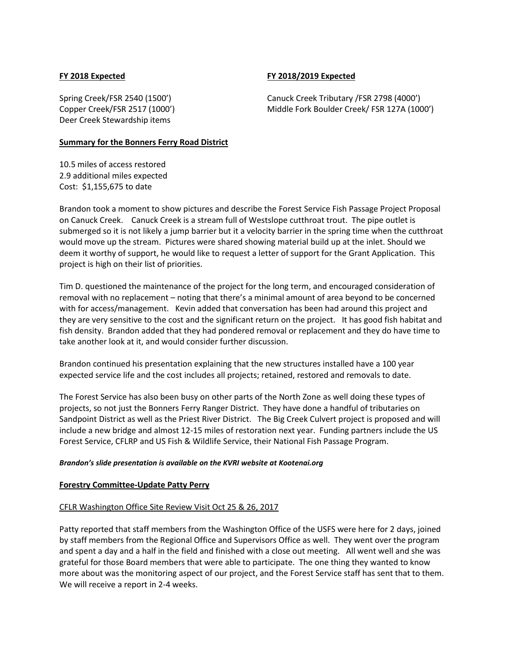## **FY 2018 Expected**

#### **FY 2018/2019 Expected**

Spring Creek/FSR 2540 (1500') Copper Creek/FSR 2517 (1000') Deer Creek Stewardship items

Canuck Creek Tributary /FSR 2798 (4000') Middle Fork Boulder Creek/ FSR 127A (1000')

#### **Summary for the Bonners Ferry Road District**

10.5 miles of access restored 2.9 additional miles expected Cost: \$1,155,675 to date

Brandon took a moment to show pictures and describe the Forest Service Fish Passage Project Proposal on Canuck Creek. Canuck Creek is a stream full of Westslope cutthroat trout. The pipe outlet is submerged so it is not likely a jump barrier but it a velocity barrier in the spring time when the cutthroat would move up the stream. Pictures were shared showing material build up at the inlet. Should we deem it worthy of support, he would like to request a letter of support for the Grant Application. This project is high on their list of priorities.

Tim D. questioned the maintenance of the project for the long term, and encouraged consideration of removal with no replacement – noting that there's a minimal amount of area beyond to be concerned with for access/management. Kevin added that conversation has been had around this project and they are very sensitive to the cost and the significant return on the project. It has good fish habitat and fish density. Brandon added that they had pondered removal or replacement and they do have time to take another look at it, and would consider further discussion.

Brandon continued his presentation explaining that the new structures installed have a 100 year expected service life and the cost includes all projects; retained, restored and removals to date.

The Forest Service has also been busy on other parts of the North Zone as well doing these types of projects, so not just the Bonners Ferry Ranger District. They have done a handful of tributaries on Sandpoint District as well as the Priest River District. The Big Creek Culvert project is proposed and will include a new bridge and almost 12-15 miles of restoration next year. Funding partners include the US Forest Service, CFLRP and US Fish & Wildlife Service, their National Fish Passage Program.

#### *Brandon's slide presentation is available on the KVRI website at Kootenai.org*

#### **Forestry Committee-Update Patty Perry**

#### CFLR Washington Office Site Review Visit Oct 25 & 26, 2017

Patty reported that staff members from the Washington Office of the USFS were here for 2 days, joined by staff members from the Regional Office and Supervisors Office as well. They went over the program and spent a day and a half in the field and finished with a close out meeting. All went well and she was grateful for those Board members that were able to participate. The one thing they wanted to know more about was the monitoring aspect of our project, and the Forest Service staff has sent that to them. We will receive a report in 2-4 weeks.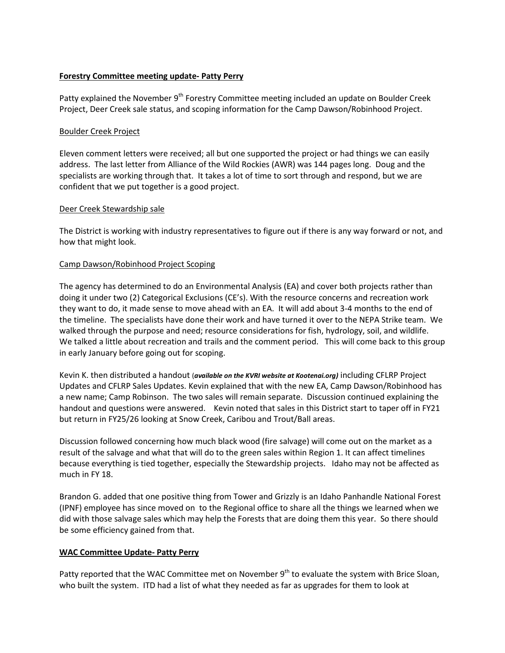## **Forestry Committee meeting update- Patty Perry**

Patty explained the November 9<sup>th</sup> Forestry Committee meeting included an update on Boulder Creek Project, Deer Creek sale status, and scoping information for the Camp Dawson/Robinhood Project.

## Boulder Creek Project

Eleven comment letters were received; all but one supported the project or had things we can easily address. The last letter from Alliance of the Wild Rockies (AWR) was 144 pages long. Doug and the specialists are working through that. It takes a lot of time to sort through and respond, but we are confident that we put together is a good project.

## Deer Creek Stewardship sale

The District is working with industry representatives to figure out if there is any way forward or not, and how that might look.

# Camp Dawson/Robinhood Project Scoping

The agency has determined to do an Environmental Analysis (EA) and cover both projects rather than doing it under two (2) Categorical Exclusions (CE's). With the resource concerns and recreation work they want to do, it made sense to move ahead with an EA. It will add about 3-4 months to the end of the timeline. The specialists have done their work and have turned it over to the NEPA Strike team. We walked through the purpose and need; resource considerations for fish, hydrology, soil, and wildlife. We talked a little about recreation and trails and the comment period. This will come back to this group in early January before going out for scoping.

Kevin K. then distributed a handout (*available on the KVRI website at Kootenai.org)* including CFLRP Project Updates and CFLRP Sales Updates. Kevin explained that with the new EA, Camp Dawson/Robinhood has a new name; Camp Robinson. The two sales will remain separate. Discussion continued explaining the handout and questions were answered. Kevin noted that sales in this District start to taper off in FY21 but return in FY25/26 looking at Snow Creek, Caribou and Trout/Ball areas.

Discussion followed concerning how much black wood (fire salvage) will come out on the market as a result of the salvage and what that will do to the green sales within Region 1. It can affect timelines because everything is tied together, especially the Stewardship projects. Idaho may not be affected as much in FY 18.

Brandon G. added that one positive thing from Tower and Grizzly is an Idaho Panhandle National Forest (IPNF) employee has since moved on to the Regional office to share all the things we learned when we did with those salvage sales which may help the Forests that are doing them this year. So there should be some efficiency gained from that.

## **WAC Committee Update- Patty Perry**

Patty reported that the WAC Committee met on November 9<sup>th</sup> to evaluate the system with Brice Sloan, who built the system. ITD had a list of what they needed as far as upgrades for them to look at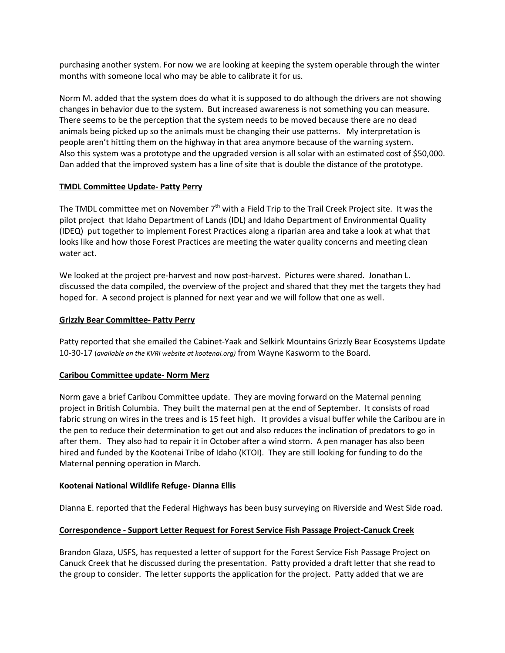purchasing another system. For now we are looking at keeping the system operable through the winter months with someone local who may be able to calibrate it for us.

Norm M. added that the system does do what it is supposed to do although the drivers are not showing changes in behavior due to the system. But increased awareness is not something you can measure. There seems to be the perception that the system needs to be moved because there are no dead animals being picked up so the animals must be changing their use patterns. My interpretation is people aren't hitting them on the highway in that area anymore because of the warning system. Also this system was a prototype and the upgraded version is all solar with an estimated cost of \$50,000. Dan added that the improved system has a line of site that is double the distance of the prototype.

## **TMDL Committee Update- Patty Perry**

The TMDL committee met on November 7<sup>th</sup> with a Field Trip to the Trail Creek Project site. It was the pilot project that Idaho Department of Lands (IDL) and Idaho Department of Environmental Quality (IDEQ) put together to implement Forest Practices along a riparian area and take a look at what that looks like and how those Forest Practices are meeting the water quality concerns and meeting clean water act.

We looked at the project pre-harvest and now post-harvest. Pictures were shared. Jonathan L. discussed the data compiled, the overview of the project and shared that they met the targets they had hoped for. A second project is planned for next year and we will follow that one as well.

# **Grizzly Bear Committee- Patty Perry**

Patty reported that she emailed the Cabinet-Yaak and Selkirk Mountains Grizzly Bear Ecosystems Update 10-30-17 (*available on the KVRI website at kootenai.org)* from Wayne Kasworm to the Board.

# **Caribou Committee update- Norm Merz**

Norm gave a brief Caribou Committee update. They are moving forward on the Maternal penning project in British Columbia. They built the maternal pen at the end of September. It consists of road fabric strung on wires in the trees and is 15 feet high. It provides a visual buffer while the Caribou are in the pen to reduce their determination to get out and also reduces the inclination of predators to go in after them. They also had to repair it in October after a wind storm. A pen manager has also been hired and funded by the Kootenai Tribe of Idaho (KTOI). They are still looking for funding to do the Maternal penning operation in March.

## **Kootenai National Wildlife Refuge- Dianna Ellis**

Dianna E. reported that the Federal Highways has been busy surveying on Riverside and West Side road.

## **Correspondence - Support Letter Request for Forest Service Fish Passage Project-Canuck Creek**

Brandon Glaza, USFS, has requested a letter of support for the Forest Service Fish Passage Project on Canuck Creek that he discussed during the presentation. Patty provided a draft letter that she read to the group to consider. The letter supports the application for the project. Patty added that we are